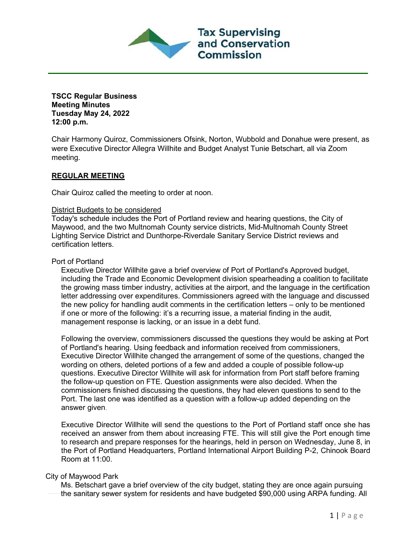

**TSCC Regular Business Meeting Minutes Tuesday May 24, 2022 12:00 p.m.**

Chair Harmony Quiroz, Commissioners Ofsink, Norton, Wubbold and Donahue were present, as were Executive Director Allegra Willhite and Budget Analyst Tunie Betschart, all via Zoom meeting.

# **REGULAR MEETING**

Chair Quiroz called the meeting to order at noon.

#### District Budgets to be considered

Today's schedule includes the Port of Portland review and hearing questions, the City of Maywood, and the two Multnomah County service districts, Mid-Multnomah County Street Lighting Service District and Dunthorpe-Riverdale Sanitary Service District reviews and certification letters.

## Port of Portland

Executive Director Willhite gave a brief overview of Port of Portland's Approved budget, including the Trade and Economic Development division spearheading a coalition to facilitate the growing mass timber industry, activities at the airport, and the language in the certification letter addressing over expenditures. Commissioners agreed with the language and discussed the new policy for handling audit comments in the certification letters – only to be mentioned if one or more of the following: it's a recurring issue, a material finding in the audit, management response is lacking, or an issue in a debt fund.

Following the overview, commissioners discussed the questions they would be asking at Port of Portland's hearing. Using feedback and information received from commissioners, Executive Director Willhite changed the arrangement of some of the questions, changed the wording on others, deleted portions of a few and added a couple of possible follow-up questions. Executive Director Willhite will ask for information from Port staff before framing the follow-up question on FTE. Question assignments were also decided. When the commissioners finished discussing the questions, they had eleven questions to send to the Port. The last one was identified as a question with a follow-up added depending on the answer given.

Executive Director Willhite will send the questions to the Port of Portland staff once she has received an answer from them about increasing FTE. This will still give the Port enough time to research and prepare responses for the hearings, held in person on Wednesday, June 8, in the Port of Portland Headquarters, Portland International Airport Building P-2, Chinook Board Room at 11:00.

# City of Maywood Park

Ms. Betschart gave a brief overview of the city budget, stating they are once again pursuing the sanitary sewer system for residents and have budgeted \$90,000 using ARPA funding. All